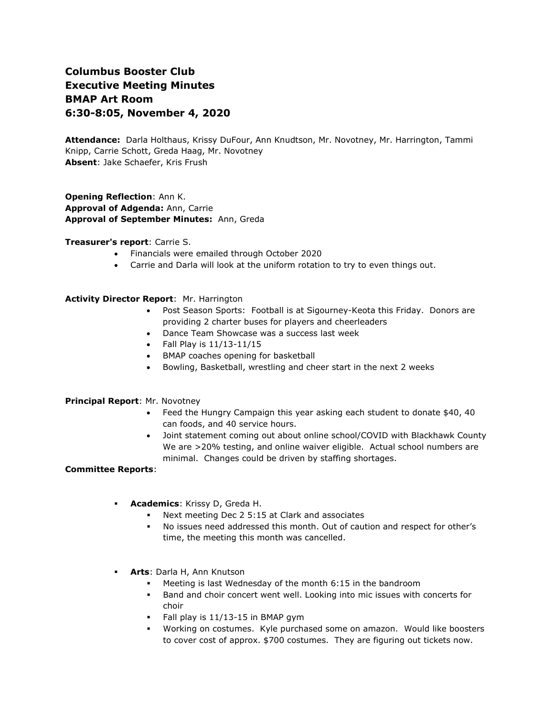# **Columbus Booster Club Executive Meeting Minutes BMAP Art Room 6:30-8:05, November 4, 2020**

**Attendance:** Darla Holthaus, Krissy DuFour, Ann Knudtson, Mr. Novotney, Mr. Harrington, Tammi Knipp, Carrie Schott, Greda Haag, Mr. Novotney **Absent**: Jake Schaefer, Kris Frush

**Opening Reflection**: Ann K. **Approval of Adgenda:** Ann, Carrie **Approval of September Minutes:** Ann, Greda

#### **Treasurer's report**: Carrie S.

- Financials were emailed through October 2020
- Carrie and Darla will look at the uniform rotation to try to even things out.

## **Activity Director Report**: Mr. Harrington

- Post Season Sports: Football is at Sigourney-Keota this Friday. Donors are providing 2 charter buses for players and cheerleaders
- Dance Team Showcase was a success last week
- Fall Play is 11/13-11/15
- BMAP coaches opening for basketball
- Bowling, Basketball, wrestling and cheer start in the next 2 weeks

#### **Principal Report**: Mr. Novotney

- Feed the Hungry Campaign this year asking each student to donate \$40, 40 can foods, and 40 service hours.
- Joint statement coming out about online school/COVID with Blackhawk County We are >20% testing, and online waiver eligible. Actual school numbers are minimal. Changes could be driven by staffing shortages.

#### **Committee Reports**:

- **Academics: Krissy D, Greda H.** 
	- Next meeting Dec  $2\,5:15$  at Clark and associates
	- No issues need addressed this month. Out of caution and respect for other's time, the meeting this month was cancelled.
- **Arts**: Darla H, Ann Knutson
	- Meeting is last Wednesday of the month 6:15 in the bandroom
	- Band and choir concert went well. Looking into mic issues with concerts for choir
	- Fall play is 11/13-15 in BMAP gym
	- Working on costumes. Kyle purchased some on amazon. Would like boosters to cover cost of approx. \$700 costumes. They are figuring out tickets now.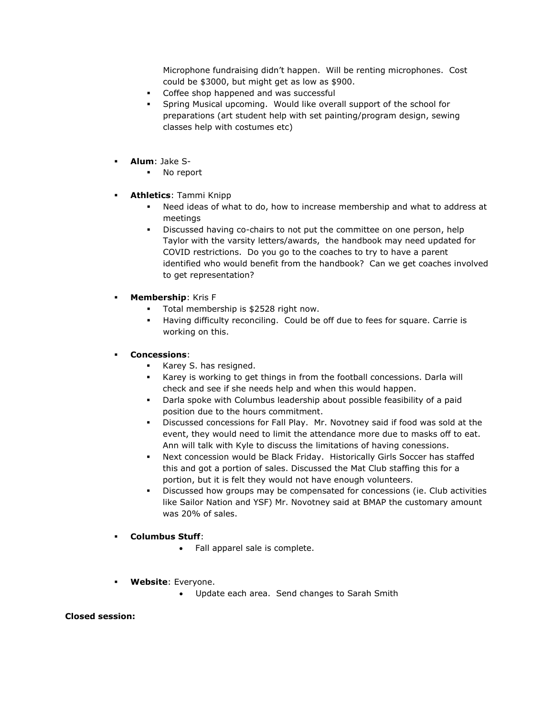Microphone fundraising didn't happen. Will be renting microphones. Cost could be \$3000, but might get as low as \$900.

- Coffee shop happened and was successful
- Spring Musical upcoming. Would like overall support of the school for preparations (art student help with set painting/program design, sewing classes help with costumes etc)
- **Alum**: Jake S-
	- No report
- **Athletics**: Tammi Knipp
	- Need ideas of what to do, how to increase membership and what to address at meetings
	- Discussed having co-chairs to not put the committee on one person, help Taylor with the varsity letters/awards, the handbook may need updated for COVID restrictions. Do you go to the coaches to try to have a parent identified who would benefit from the handbook? Can we get coaches involved to get representation?
- **Membership**: Kris F
	- Total membership is \$2528 right now.
	- Having difficulty reconciling. Could be off due to fees for square. Carrie is working on this.

## ▪ **Concessions**:

- Karey S. has resigned.
- Karey is working to get things in from the football concessions. Darla will check and see if she needs help and when this would happen.
- Darla spoke with Columbus leadership about possible feasibility of a paid position due to the hours commitment.
- Discussed concessions for Fall Play. Mr. Novotney said if food was sold at the event, they would need to limit the attendance more due to masks off to eat. Ann will talk with Kyle to discuss the limitations of having conessions.
- Next concession would be Black Friday. Historically Girls Soccer has staffed this and got a portion of sales. Discussed the Mat Club staffing this for a portion, but it is felt they would not have enough volunteers.
- Discussed how groups may be compensated for concessions (ie. Club activities like Sailor Nation and YSF) Mr. Novotney said at BMAP the customary amount was 20% of sales.

### ▪ **Columbus Stuff**:

- Fall apparel sale is complete.
- **Website**: Everyone.
	- Update each area. Send changes to Sarah Smith

#### **Closed session:**